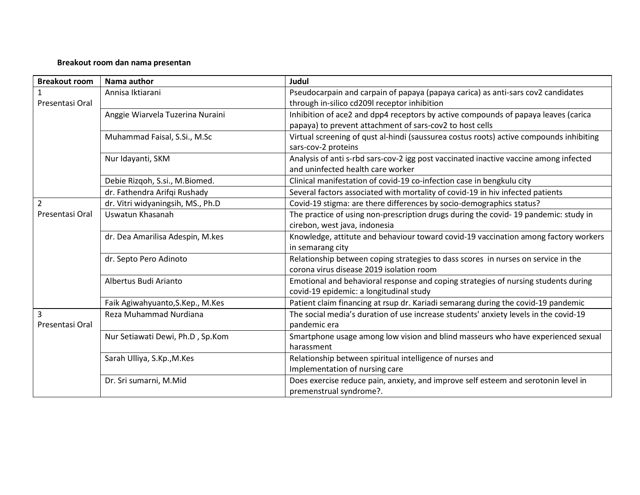## **Breakout room dan nama presentan**

| <b>Breakout room</b> | Nama author                       | <b>Judul</b>                                                                                                                                   |
|----------------------|-----------------------------------|------------------------------------------------------------------------------------------------------------------------------------------------|
| Presentasi Oral      | Annisa Iktiarani                  | Pseudocarpain and carpain of papaya (papaya carica) as anti-sars cov2 candidates<br>through in-silico cd209l receptor inhibition               |
|                      | Anggie Wiarvela Tuzerina Nuraini  | Inhibition of ace2 and dpp4 receptors by active compounds of papaya leaves (carica<br>papaya) to prevent attachment of sars-cov2 to host cells |
|                      | Muhammad Faisal, S.Si., M.Sc      | Virtual screening of qust al-hindi (saussurea costus roots) active compounds inhibiting<br>sars-cov-2 proteins                                 |
|                      | Nur Idayanti, SKM                 | Analysis of anti s-rbd sars-cov-2 igg post vaccinated inactive vaccine among infected<br>and uninfected health care worker                     |
|                      | Debie Rizqoh, S.si., M.Biomed.    | Clinical manifestation of covid-19 co-infection case in bengkulu city                                                                          |
|                      | dr. Fathendra Arifqi Rushady      | Several factors associated with mortality of covid-19 in hiv infected patients                                                                 |
| $\overline{2}$       | dr. Vitri widyaningsih, MS., Ph.D | Covid-19 stigma: are there differences by socio-demographics status?                                                                           |
| Presentasi Oral      | Uswatun Khasanah                  | The practice of using non-prescription drugs during the covid-19 pandemic: study in<br>cirebon, west java, indonesia                           |
|                      | dr. Dea Amarilisa Adespin, M.kes  | Knowledge, attitute and behaviour toward covid-19 vaccination among factory workers<br>in semarang city                                        |
|                      | dr. Septo Pero Adinoto            | Relationship between coping strategies to dass scores in nurses on service in the<br>corona virus disease 2019 isolation room                  |
|                      | Albertus Budi Arianto             | Emotional and behavioral response and coping strategies of nursing students during<br>covid-19 epidemic: a longitudinal study                  |
|                      | Faik Agiwahyuanto, S.Kep., M.Kes  | Patient claim financing at rsup dr. Kariadi semarang during the covid-19 pandemic                                                              |
| 3<br>Presentasi Oral | Reza Muhammad Nurdiana            | The social media's duration of use increase students' anxiety levels in the covid-19<br>pandemic era                                           |
|                      | Nur Setiawati Dewi, Ph.D, Sp.Kom  | Smartphone usage among low vision and blind masseurs who have experienced sexual<br>harassment                                                 |
|                      | Sarah Ulliya, S.Kp., M.Kes        | Relationship between spiritual intelligence of nurses and<br>Implementation of nursing care                                                    |
|                      | Dr. Sri sumarni, M.Mid            | Does exercise reduce pain, anxiety, and improve self esteem and serotonin level in<br>premenstrual syndrome?.                                  |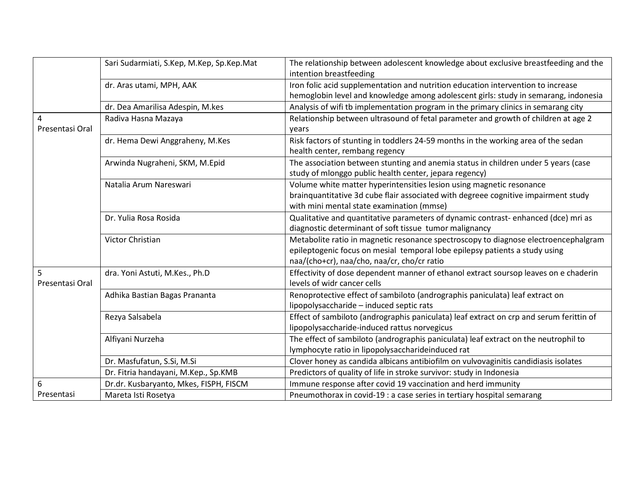|                      | Sari Sudarmiati, S.Kep, M.Kep, Sp.Kep.Mat | The relationship between adolescent knowledge about exclusive breastfeeding and the<br>intention breastfeeding                                                          |
|----------------------|-------------------------------------------|-------------------------------------------------------------------------------------------------------------------------------------------------------------------------|
|                      | dr. Aras utami, MPH, AAK                  | Iron folic acid supplementation and nutrition education intervention to increase<br>hemoglobin level and knowledge among adolescent girls: study in semarang, indonesia |
|                      | dr. Dea Amarilisa Adespin, M.kes          | Analysis of wifi tb implementation program in the primary clinics in semarang city                                                                                      |
| $\overline{4}$       | Radiva Hasna Mazaya                       | Relationship between ultrasound of fetal parameter and growth of children at age 2                                                                                      |
| Presentasi Oral      |                                           | years                                                                                                                                                                   |
|                      | dr. Hema Dewi Anggraheny, M.Kes           | Risk factors of stunting in toddlers 24-59 months in the working area of the sedan                                                                                      |
|                      |                                           | health center, rembang regency                                                                                                                                          |
|                      | Arwinda Nugraheni, SKM, M.Epid            | The association between stunting and anemia status in children under 5 years (case                                                                                      |
|                      |                                           | study of mlonggo public health center, jepara regency)                                                                                                                  |
|                      | Natalia Arum Nareswari                    | Volume white matter hyperintensities lesion using magnetic resonance                                                                                                    |
|                      |                                           | brainquantitative 3d cube flair associated with degreee cognitive impairment study                                                                                      |
|                      |                                           | with mini mental state examination (mmse)                                                                                                                               |
|                      | Dr. Yulia Rosa Rosida                     | Qualitative and quantitative parameters of dynamic contrast-enhanced (dce) mri as                                                                                       |
|                      |                                           | diagnostic determinant of soft tissue tumor malignancy                                                                                                                  |
|                      | Victor Christian                          | Metabolite ratio in magnetic resonance spectroscopy to diagnose electroencephalgram                                                                                     |
|                      |                                           | epileptogenic focus on mesial temporal lobe epilepsy patients a study using                                                                                             |
|                      |                                           | naa/(cho+cr), naa/cho, naa/cr, cho/cr ratio                                                                                                                             |
| 5<br>Presentasi Oral | dra. Yoni Astuti, M.Kes., Ph.D            | Effectivity of dose dependent manner of ethanol extract soursop leaves on e chaderin                                                                                    |
|                      |                                           | levels of widr cancer cells                                                                                                                                             |
|                      | Adhika Bastian Bagas Prananta             | Renoprotective effect of sambiloto (andrographis paniculata) leaf extract on                                                                                            |
|                      |                                           | lipopolysaccharide - induced septic rats                                                                                                                                |
|                      | Rezya Salsabela                           | Effect of sambiloto (andrographis paniculata) leaf extract on crp and serum ferittin of                                                                                 |
|                      |                                           | lipopolysaccharide-induced rattus norvegicus                                                                                                                            |
|                      | Alfiyani Nurzeha                          | The effect of sambiloto (andrographis paniculata) leaf extract on the neutrophil to                                                                                     |
|                      |                                           | lymphocyte ratio in lipopolysaccharideinduced rat                                                                                                                       |
|                      | Dr. Masfufatun, S.Si, M.Si                | Clover honey as candida albicans antibiofilm on vulvovaginitis candidiasis isolates                                                                                     |
|                      | Dr. Fitria handayani, M.Kep., Sp.KMB      | Predictors of quality of life in stroke survivor: study in Indonesia                                                                                                    |
| 6                    | Dr.dr. Kusbaryanto, Mkes, FISPH, FISCM    | Immune response after covid 19 vaccination and herd immunity                                                                                                            |
| Presentasi           | Mareta Isti Rosetya                       | Pneumothorax in covid-19 : a case series in tertiary hospital semarang                                                                                                  |